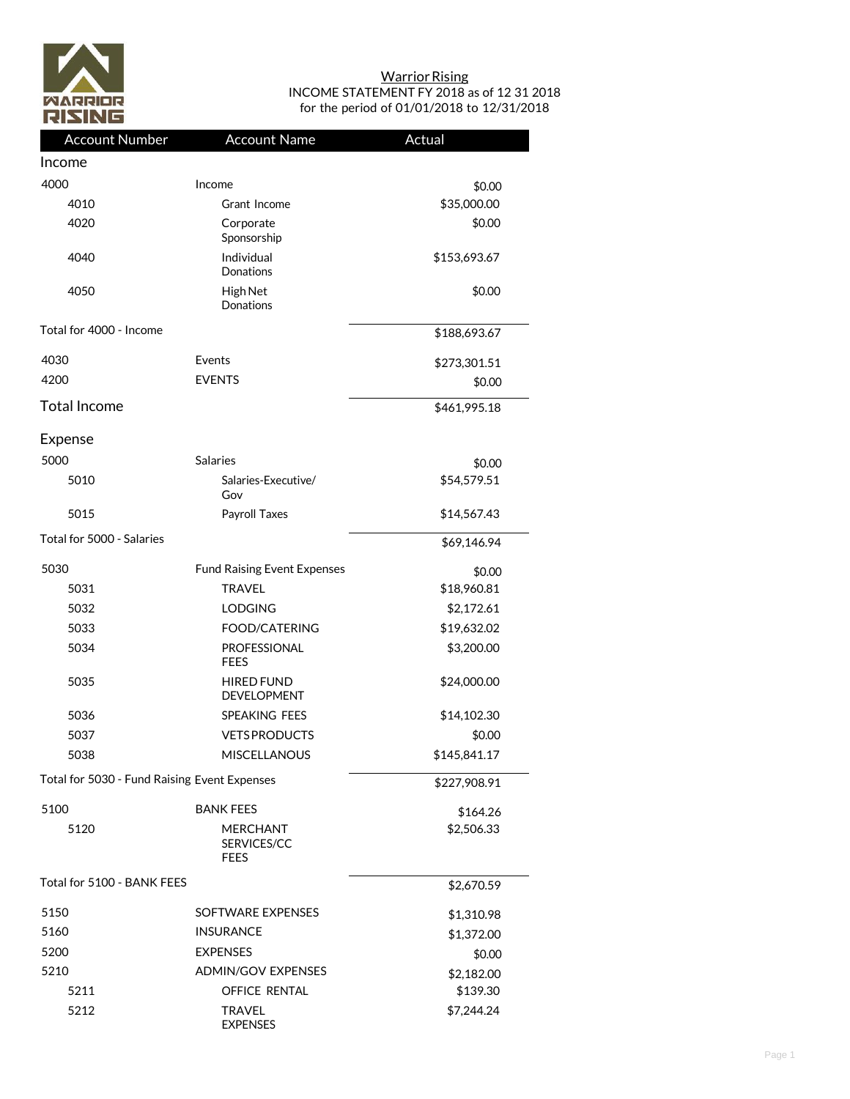

## **Warrior Rising** INCOME STATEMENT FY 2018 as of 12 31 2018 for the period of 01/01/2018 to 12/31/2018

| <b>Account Number</b>                        | <b>Account Name</b>                           | Actual       |
|----------------------------------------------|-----------------------------------------------|--------------|
| Income                                       |                                               |              |
| 4000                                         | Income                                        | \$0.00       |
| 4010                                         | Grant Income                                  | \$35,000.00  |
| 4020                                         | Corporate<br>Sponsorship                      | \$0.00       |
| 4040                                         | Individual<br>Donations                       | \$153,693.67 |
| 4050                                         | High Net<br>Donations                         | \$0.00       |
| Total for 4000 - Income                      |                                               | \$188,693.67 |
| 4030                                         | Events                                        | \$273,301.51 |
| 4200                                         | <b>EVENTS</b>                                 | \$0.00       |
| <b>Total Income</b>                          |                                               | \$461,995.18 |
| Expense                                      |                                               |              |
| 5000                                         | <b>Salaries</b>                               | \$0.00       |
| 5010                                         | Salaries-Executive/<br>Gov                    | \$54,579.51  |
| 5015                                         | Payroll Taxes                                 | \$14,567.43  |
| Total for 5000 - Salaries                    |                                               | \$69,146.94  |
| 5030                                         | <b>Fund Raising Event Expenses</b>            | \$0.00       |
| 5031                                         | <b>TRAVEL</b>                                 | \$18,960.81  |
| 5032                                         | <b>LODGING</b>                                | \$2,172.61   |
| 5033                                         | <b>FOOD/CATERING</b>                          | \$19,632.02  |
| 5034                                         | <b>PROFESSIONAL</b><br><b>FEES</b>            | \$3,200.00   |
| 5035                                         | <b>HIRED FUND</b><br><b>DEVELOPMENT</b>       | \$24,000.00  |
| 5036                                         | <b>SPEAKING FEES</b>                          | \$14,102.30  |
| 5037                                         | <b>VETS PRODUCTS</b>                          | \$0.00       |
| 5038                                         | <b>MISCELLANOUS</b>                           | \$145,841.17 |
| Total for 5030 - Fund Raising Event Expenses |                                               | \$227,908.91 |
| 5100                                         | <b>BANK FEES</b>                              | \$164.26     |
| 5120                                         | <b>MERCHANT</b><br>SERVICES/CC<br><b>FEES</b> | \$2,506.33   |
| Total for 5100 - BANK FEES                   |                                               | \$2,670.59   |
| 5150                                         | SOFTWARE EXPENSES                             | \$1,310.98   |
| 5160                                         | <b>INSURANCE</b>                              | \$1,372.00   |
| 5200                                         | <b>EXPENSES</b>                               | \$0.00       |
| 5210                                         | <b>ADMIN/GOV EXPENSES</b>                     | \$2,182.00   |
| 5211                                         | OFFICE RENTAL                                 | \$139.30     |
| 5212                                         | <b>TRAVEL</b><br><b>EXPENSES</b>              | \$7,244.24   |